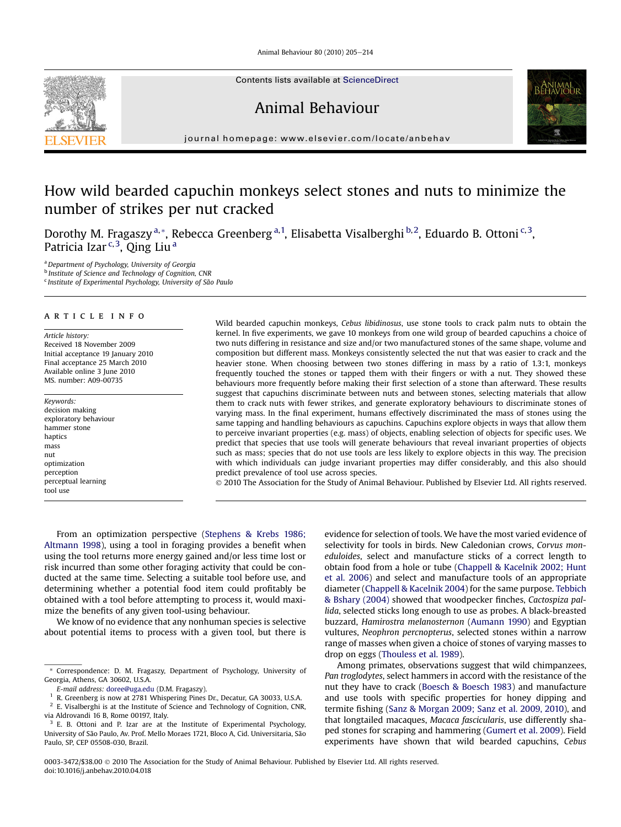Animal Behaviour 80 (2010) 205-214



Contents lists available at ScienceDirect

# Animal Behaviour



journal homepage: [www.elsevier.com/locate/anbehav](http://www.elsevier.com/locate/anbehav)

# How wild bearded capuchin monkeys select stones and nuts to minimize the number of strikes per nut cracked

Dorothy M. Fragaszy <sup>a, \*</sup>, Rebecca Greenberg <sup>a, 1</sup>, Elisabetta Visalberghi <sup>b, 2</sup>, Eduardo B. Ottoni <sup>c, 3</sup>, Patricia Izar<sup>c, 3</sup>, Qing Liu<sup>a</sup>

<sup>a</sup> Department of Psychology, University of Georgia <sup>b</sup> Institute of Science and Technology of Cognition, CNR

<sup>c</sup> Institute of Experimental Psychology, University of São Paulo

# article info

Article history: Received 18 November 2009 Initial acceptance 19 January 2010 Final acceptance 25 March 2010 Available online 3 June 2010 MS. number: A09-00735

Keywords: decision making exploratory behaviour hammer stone haptics mass nut optimization perception perceptual learning tool use

Wild bearded capuchin monkeys, Cebus libidinosus, use stone tools to crack palm nuts to obtain the kernel. In five experiments, we gave 10 monkeys from one wild group of bearded capuchins a choice of two nuts differing in resistance and size and/or two manufactured stones of the same shape, volume and composition but different mass. Monkeys consistently selected the nut that was easier to crack and the heavier stone. When choosing between two stones differing in mass by a ratio of 1.3:1, monkeys frequently touched the stones or tapped them with their fingers or with a nut. They showed these behaviours more frequently before making their first selection of a stone than afterward. These results suggest that capuchins discriminate between nuts and between stones, selecting materials that allow them to crack nuts with fewer strikes, and generate exploratory behaviours to discriminate stones of varying mass. In the final experiment, humans effectively discriminated the mass of stones using the same tapping and handling behaviours as capuchins. Capuchins explore objects in ways that allow them to perceive invariant properties (e.g. mass) of objects, enabling selection of objects for specific uses. We predict that species that use tools will generate behaviours that reveal invariant properties of objects such as mass; species that do not use tools are less likely to explore objects in this way. The precision with which individuals can judge invariant properties may differ considerably, and this also should predict prevalence of tool use across species.

2010 The Association for the Study of Animal Behaviour. Published by Elsevier Ltd. All rights reserved.

From an optimization perspective ([Stephens & Krebs 1986;](#page-9-0) [Altmann 1998\)](#page-9-0), using a tool in foraging provides a benefit when using the tool returns more energy gained and/or less time lost or risk incurred than some other foraging activity that could be conducted at the same time. Selecting a suitable tool before use, and determining whether a potential food item could profitably be obtained with a tool before attempting to process it, would maximize the benefits of any given tool-using behaviour.

We know of no evidence that any nonhuman species is selective about potential items to process with a given tool, but there is evidence for selection of tools. We have the most varied evidence of selectivity for tools in birds. New Caledonian crows, Corvus moneduloides, select and manufacture sticks of a correct length to obtain food from a hole or tube [\(Chappell & Kacelnik 2002; Hunt](#page-8-0) [et al. 2006\)](#page-8-0) and select and manufacture tools of an appropriate diameter [\(Chappell & Kacelnik 2004](#page-8-0)) for the same purpose. [Tebbich](#page-9-0) [& Bshary \(2004\)](#page-9-0) showed that woodpecker finches, Cactospiza pallida, selected sticks long enough to use as probes. A black-breasted buzzard, Hamirostra melanosternon ([Aumann 1990\)](#page-8-0) and Egyptian vultures, Neophron percnopterus, selected stones within a narrow range of masses when given a choice of stones of varying masses to drop on eggs [\(Thouless et al. 1989\)](#page-9-0).

Among primates, observations suggest that wild chimpanzees, Pan troglodytes, select hammers in accord with the resistance of the nut they have to crack ([Boesch & Boesch 1983](#page-8-0)) and manufacture and use tools with specific properties for honey dipping and termite fishing [\(Sanz & Morgan 2009; Sanz et al. 2009, 2010\)](#page-9-0), and that longtailed macaques, Macaca fascicularis, use differently shaped stones for scraping and hammering ([Gumert et al. 2009](#page-9-0)). Field experiments have shown that wild bearded capuchins, Cebus

0003-3472/\$38.00 2010 The Association for the Study of Animal Behaviour. Published by Elsevier Ltd. All rights reserved. doi:10.1016/j.anbehav.2010.04.018

<sup>\*</sup> Correspondence: D. M. Fragaszy, Department of Psychology, University of Georgia, Athens, GA 30602, U.S.A.

E-mail address: [doree@uga.edu](mailto:doree@uga.edu) (D.M. Fragaszy).

<sup>&</sup>lt;sup>1</sup> R. Greenberg is now at 2781 Whispering Pines Dr., Decatur, GA 30033, U.S.A.<br><sup>2</sup> E. Visalberghi is at the Institute of Science and Technology of Cognition CNP

<sup>2</sup> E. Visalberghi is at the Institute of Science and Technology of Cognition, CNR, via Aldrovandi 16 B, Rome 00197, Italy.

E. B. Ottoni and P. Izar are at the Institute of Experimental Psychology, University of São Paulo, Av. Prof. Mello Moraes 1721, Bloco A, Cid. Universitaria, São Paulo, SP, CEP 05508-030, Brazil.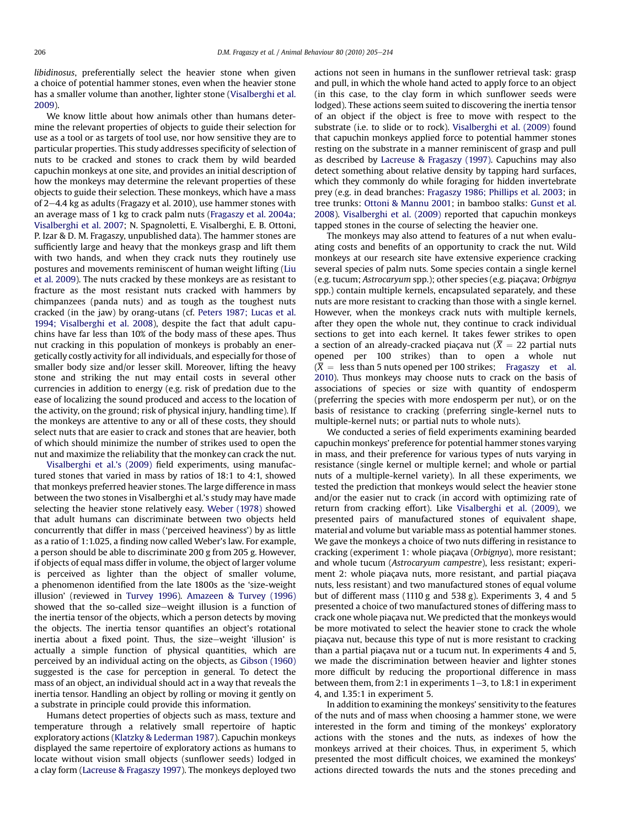libidinosus, preferentially select the heavier stone when given a choice of potential hammer stones, even when the heavier stone has a smaller volume than another, lighter stone ([Visalberghi et al.](#page-9-0) [2009](#page-9-0)).

We know little about how animals other than humans determine the relevant properties of objects to guide their selection for use as a tool or as targets of tool use, nor how sensitive they are to particular properties. This study addresses specificity of selection of nuts to be cracked and stones to crack them by wild bearded capuchin monkeys at one site, and provides an initial description of how the monkeys may determine the relevant properties of these objects to guide their selection. These monkeys, which have a mass of  $2-4.4$  kg as adults (Fragazy et al. 2010), use hammer stones with an average mass of 1 kg to crack palm nuts ([Fragaszy et al. 2004a;](#page-8-0) [Visalberghi et al. 2007;](#page-8-0) N. Spagnoletti, E. Visalberghi, E. B. Ottoni, P. Izar & D. M. Fragaszy, unpublished data). The hammer stones are sufficiently large and heavy that the monkeys grasp and lift them with two hands, and when they crack nuts they routinely use postures and movements reminiscent of human weight lifting ([Liu](#page-9-0) [et al. 2009\)](#page-9-0). The nuts cracked by these monkeys are as resistant to fracture as the most resistant nuts cracked with hammers by chimpanzees (panda nuts) and as tough as the toughest nuts cracked (in the jaw) by orang-utans (cf. [Peters 1987; Lucas et al.](#page-9-0) [1994; Visalberghi et al. 2008\)](#page-9-0), despite the fact that adult capuchins have far less than 10% of the body mass of these apes. Thus nut cracking in this population of monkeys is probably an energetically costly activity for all individuals, and especially for those of smaller body size and/or lesser skill. Moreover, lifting the heavy stone and striking the nut may entail costs in several other currencies in addition to energy (e.g. risk of predation due to the ease of localizing the sound produced and access to the location of the activity, on the ground; risk of physical injury, handling time). If the monkeys are attentive to any or all of these costs, they should select nuts that are easier to crack and stones that are heavier, both of which should minimize the number of strikes used to open the nut and maximize the reliability that the monkey can crack the nut.

[Visalberghi et al.](#page-9-0)'s (2009) field experiments, using manufactured stones that varied in mass by ratios of 18:1 to 4:1, showed that monkeys preferred heavier stones. The large difference in mass between the two stones in Visalberghi et al.'s study may have made selecting the heavier stone relatively easy. [Weber \(1978\)](#page-9-0) showed that adult humans can discriminate between two objects held concurrently that differ in mass ('perceived heaviness') by as little as a ratio of 1:1.025, a finding now called Weber's law. For example, a person should be able to discriminate 200 g from 205 g. However, if objects of equal mass differ in volume, the object of larger volume is perceived as lighter than the object of smaller volume, a phenomenon identified from the late 1800s as the 'size-weight illusion' (reviewed in [Turvey 1996\)](#page-9-0). [Amazeen & Turvey \(1996\)](#page-8-0) showed that the so-called size-weight illusion is a function of the inertia tensor of the objects, which a person detects by moving the objects. The inertia tensor quantifies an object's rotational inertia about a fixed point. Thus, the size-weight 'illusion' is actually a simple function of physical quantities, which are perceived by an individual acting on the objects, as [Gibson \(1960\)](#page-9-0) suggested is the case for perception in general. To detect the mass of an object, an individual should act in a way that reveals the inertia tensor. Handling an object by rolling or moving it gently on a substrate in principle could provide this information.

Humans detect properties of objects such as mass, texture and temperature through a relatively small repertoire of haptic exploratory actions ([Klatzky & Lederman 1987\)](#page-9-0). Capuchin monkeys displayed the same repertoire of exploratory actions as humans to locate without vision small objects (sunflower seeds) lodged in a clay form [\(Lacreuse & Fragaszy 1997\)](#page-9-0). The monkeys deployed two actions not seen in humans in the sunflower retrieval task: grasp and pull, in which the whole hand acted to apply force to an object (in this case, to the clay form in which sunflower seeds were lodged). These actions seem suited to discovering the inertia tensor of an object if the object is free to move with respect to the substrate (i.e. to slide or to rock). [Visalberghi et al. \(2009\)](#page-9-0) found that capuchin monkeys applied force to potential hammer stones resting on the substrate in a manner reminiscent of grasp and pull as described by [Lacreuse & Fragaszy \(1997\).](#page-9-0) Capuchins may also detect something about relative density by tapping hard surfaces, which they commonly do while foraging for hidden invertebrate prey (e.g. in dead branches: [Fragaszy 1986; Phillips et al. 2003;](#page-8-0) in tree trunks: [Ottoni & Mannu 2001](#page-9-0); in bamboo stalks: [Gunst et al.](#page-9-0) [2008](#page-9-0)). [Visalberghi et al. \(2009\)](#page-9-0) reported that capuchin monkeys tapped stones in the course of selecting the heavier one.

The monkeys may also attend to features of a nut when evaluating costs and benefits of an opportunity to crack the nut. Wild monkeys at our research site have extensive experience cracking several species of palm nuts. Some species contain a single kernel (e.g. tucum; Astrocaryum spp.); other species (e.g. piaçava; Orbignya spp.) contain multiple kernels, encapsulated separately, and these nuts are more resistant to cracking than those with a single kernel. However, when the monkeys crack nuts with multiple kernels, after they open the whole nut, they continue to crack individual sections to get into each kernel. It takes fewer strikes to open a section of an already-cracked piaçava nut ( $\overline{X}$  = 22 partial nuts opened per 100 strikes) than to open a whole nut  $(\overline{X})$  = less than 5 nuts opened per 100 strikes; [Fragaszy et al.](#page-9-0) [2010\)](#page-9-0). Thus monkeys may choose nuts to crack on the basis of associations of species or size with quantity of endosperm (preferring the species with more endosperm per nut), or on the basis of resistance to cracking (preferring single-kernel nuts to multiple-kernel nuts; or partial nuts to whole nuts).

We conducted a series of field experiments examining bearded capuchin monkeys' preference for potential hammer stones varying in mass, and their preference for various types of nuts varying in resistance (single kernel or multiple kernel; and whole or partial nuts of a multiple-kernel variety). In all these experiments, we tested the prediction that monkeys would select the heavier stone and/or the easier nut to crack (in accord with optimizing rate of return from cracking effort). Like [Visalberghi et al. \(2009\)](#page-9-0), we presented pairs of manufactured stones of equivalent shape, material and volume but variable mass as potential hammer stones. We gave the monkeys a choice of two nuts differing in resistance to cracking (experiment 1: whole piaçava (Orbignya), more resistant; and whole tucum (Astrocaryum campestre), less resistant; experiment 2: whole piaçava nuts, more resistant, and partial piaçava nuts, less resistant) and two manufactured stones of equal volume but of different mass (1110 g and 538 g). Experiments 3, 4 and 5 presented a choice of two manufactured stones of differing mass to crack one whole piaçava nut. We predicted that the monkeys would be more motivated to select the heavier stone to crack the whole piaçava nut, because this type of nut is more resistant to cracking than a partial piaçava nut or a tucum nut. In experiments 4 and 5, we made the discrimination between heavier and lighter stones more difficult by reducing the proportional difference in mass between them, from 2:1 in experiments  $1-3$ , to 1.8:1 in experiment 4, and 1.35:1 in experiment 5.

In addition to examining the monkeys' sensitivity to the features of the nuts and of mass when choosing a hammer stone, we were interested in the form and timing of the monkeys' exploratory actions with the stones and the nuts, as indexes of how the monkeys arrived at their choices. Thus, in experiment 5, which presented the most difficult choices, we examined the monkeys' actions directed towards the nuts and the stones preceding and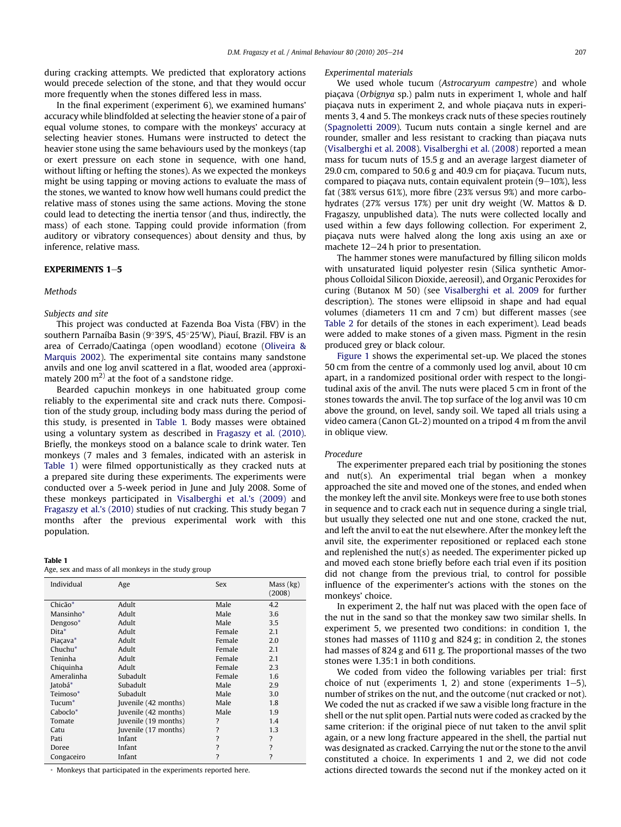during cracking attempts. We predicted that exploratory actions would precede selection of the stone, and that they would occur more frequently when the stones differed less in mass.

In the final experiment (experiment 6), we examined humans' accuracy while blindfolded at selecting the heavier stone of a pair of equal volume stones, to compare with the monkeys' accuracy at selecting heavier stones. Humans were instructed to detect the heavier stone using the same behaviours used by the monkeys (tap or exert pressure on each stone in sequence, with one hand, without lifting or hefting the stones). As we expected the monkeys might be using tapping or moving actions to evaluate the mass of the stones, we wanted to know how well humans could predict the relative mass of stones using the same actions. Moving the stone could lead to detecting the inertia tensor (and thus, indirectly, the mass) of each stone. Tapping could provide information (from auditory or vibratory consequences) about density and thus, by inference, relative mass.

# **EXPERIMENTS**  $1-5$

# Methods

#### Subjects and site

This project was conducted at Fazenda Boa Vista (FBV) in the southern Parnaíba Basin (9°39′S, 45°25′W), Piauí, Brazil. FBV is an area of Cerrado/Caatinga (open woodland) ecotone ([Oliveira &](#page-9-0) [Marquis 2002](#page-9-0)). The experimental site contains many sandstone anvils and one log anvil scattered in a flat, wooded area (approximately 200  $m<sup>2</sup>$  at the foot of a sandstone ridge.

Bearded capuchin monkeys in one habituated group come reliably to the experimental site and crack nuts there. Composition of the study group, including body mass during the period of this study, is presented in Table 1. Body masses were obtained using a voluntary system as described in [Fragaszy et al. \(2010\).](#page-9-0) Briefly, the monkeys stood on a balance scale to drink water. Ten monkeys (7 males and 3 females, indicated with an asterisk in Table 1) were filmed opportunistically as they cracked nuts at a prepared site during these experiments. The experiments were conducted over a 5-week period in June and July 2008. Some of these monkeys participated in [Visalberghi et al.](#page-9-0)'s (2009) and [Fragaszy et al.](#page-9-0)'s (2010) studies of nut cracking. This study began 7 months after the previous experimental work with this population.

#### Table 1

|  |  |  | Age, sex and mass of all monkeys in the study group |  |  |
|--|--|--|-----------------------------------------------------|--|--|
|  |  |  |                                                     |  |  |

| Individual         | Age                  | Sex    | Mass (kg)<br>(2008) |
|--------------------|----------------------|--------|---------------------|
| Chicão*            | Adult                | Male   | 4.2                 |
| $Mansinho*$        | Adult                | Male   | 3.6                 |
| Dengoso*           | Adult                | Male   | 3.5                 |
| $Dita^*$           | Adult                | Female | 2.1                 |
| Piacava*           | Adult                | Female | 2.0                 |
| $Chuchu*$          | Adult                | Female | 2.1                 |
| Teninha            | Adult                | Female | 2.1                 |
| Chiquinha          | Adult                | Female | 2.3                 |
| Ameralinha         | Subadult             | Female | 1.6                 |
| Jatobá*            | Subadult             | Male   | 2.9                 |
| Teimoso*           | Subadult             | Male   | 3.0                 |
| Tucum <sup>*</sup> | (uvenile (42 months) | Male   | 1.8                 |
| $Caboclo*$         | (uvenile (42 months) | Male   | 1.9                 |
| Tomate             | (uvenile (19 months) | ?      | 1.4                 |
| Catu               | (uvenile (17 months) | ?      | 1.3                 |
| Pati               | Infant               | ?      | ?                   |
| Doree              | Infant               | ?      | ?                   |
| Congaceiro         | Infant               | 7      | ?                   |

Monkeys that participated in the experiments reported here.

#### Experimental materials

We used whole tucum (Astrocaryum campestre) and whole piaçava (Orbignya sp.) palm nuts in experiment 1, whole and half piaçava nuts in experiment 2, and whole piaçava nuts in experiments 3, 4 and 5. The monkeys crack nuts of these species routinely ([Spagnoletti 2009](#page-9-0)). Tucum nuts contain a single kernel and are rounder, smaller and less resistant to cracking than piaçava nuts ([Visalberghi et al. 2008](#page-9-0)). [Visalberghi et al. \(2008\)](#page-9-0) reported a mean mass for tucum nuts of 15.5 g and an average largest diameter of 29.0 cm, compared to 50.6 g and 40.9 cm for piaçava. Tucum nuts, compared to piaçava nuts, contain equivalent protein  $(9-10\%)$ , less fat (38% versus 61%), more fibre (23% versus 9%) and more carbohydrates (27% versus 17%) per unit dry weight (W. Mattos & D. Fragaszy, unpublished data). The nuts were collected locally and used within a few days following collection. For experiment 2, piaçava nuts were halved along the long axis using an axe or machete  $12-24$  h prior to presentation.

The hammer stones were manufactured by filling silicon molds with unsaturated liquid polyester resin (Silica synthetic Amorphous Colloidal Silicon Dioxide, aereosil), and Organic Peroxides for curing (Butanox M 50) (see [Visalberghi et al. 2009](#page-9-0) for further description). The stones were ellipsoid in shape and had equal volumes (diameters 11 cm and 7 cm) but different masses (see [Table 2](#page-3-0) for details of the stones in each experiment). Lead beads were added to make stones of a given mass. Pigment in the resin produced grey or black colour.

[Figure 1](#page-3-0) shows the experimental set-up. We placed the stones 50 cm from the centre of a commonly used log anvil, about 10 cm apart, in a randomized positional order with respect to the longitudinal axis of the anvil. The nuts were placed 5 cm in front of the stones towards the anvil. The top surface of the log anvil was 10 cm above the ground, on level, sandy soil. We taped all trials using a video camera (Canon GL-2) mounted on a tripod 4 m from the anvil in oblique view.

#### Procedure

The experimenter prepared each trial by positioning the stones and nut(s). An experimental trial began when a monkey approached the site and moved one of the stones, and ended when the monkey left the anvil site. Monkeys were free to use both stones in sequence and to crack each nut in sequence during a single trial, but usually they selected one nut and one stone, cracked the nut, and left the anvil to eat the nut elsewhere. After the monkey left the anvil site, the experimenter repositioned or replaced each stone and replenished the nut(s) as needed. The experimenter picked up and moved each stone briefly before each trial even if its position did not change from the previous trial, to control for possible influence of the experimenter's actions with the stones on the monkeys' choice.

In experiment 2, the half nut was placed with the open face of the nut in the sand so that the monkey saw two similar shells. In experiment 5, we presented two conditions: in condition 1, the stones had masses of 1110 g and 824 g; in condition 2, the stones had masses of 824 g and 611 g. The proportional masses of the two stones were 1.35:1 in both conditions.

We coded from video the following variables per trial: first choice of nut (experiments 1, 2) and stone (experiments  $1-5$ ), number of strikes on the nut, and the outcome (nut cracked or not). We coded the nut as cracked if we saw a visible long fracture in the shell or the nut split open. Partial nuts were coded as cracked by the same criterion: if the original piece of nut taken to the anvil split again, or a new long fracture appeared in the shell, the partial nut was designated as cracked. Carrying the nut or the stone to the anvil constituted a choice. In experiments 1 and 2, we did not code actions directed towards the second nut if the monkey acted on it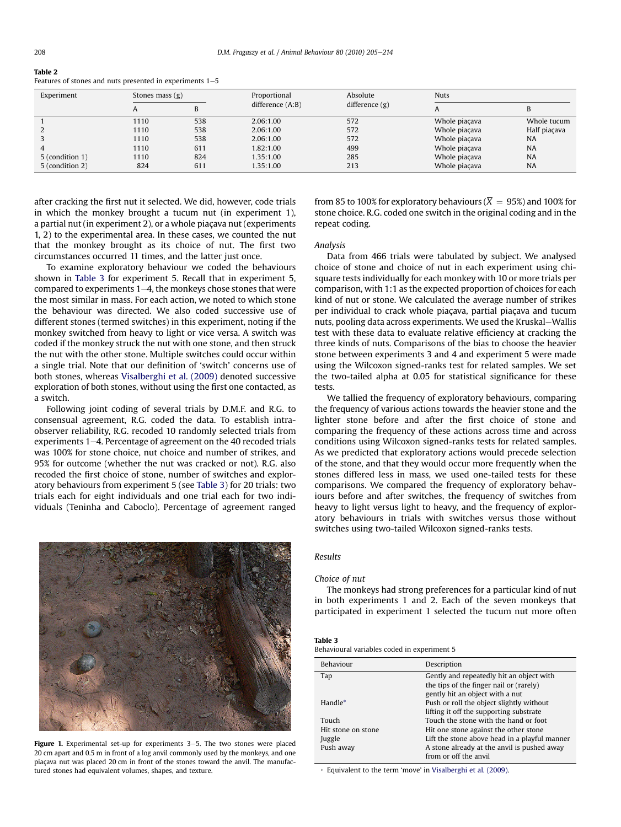<span id="page-3-0"></span>

| Table 2 |                                                          |  |
|---------|----------------------------------------------------------|--|
|         | Features of stones and nuts presented in experiments 1-5 |  |

| Experiment      | Stones mass $(g)$ |     | Proportional       | Absolute         | <b>Nuts</b>   |              |  |  |
|-----------------|-------------------|-----|--------------------|------------------|---------------|--------------|--|--|
|                 | $\mathbf{r}$      | Ď   | difference $(A:B)$ | difference $(g)$ |               |              |  |  |
|                 | 1110              | 538 | 2.06:1.00          | 572              | Whole piacava | Whole tucum  |  |  |
|                 | 1110              | 538 | 2.06:1.00          | 572              | Whole piacava | Half piacava |  |  |
|                 | 1110              | 538 | 2.06:1.00          | 572              | Whole piacava | <b>NA</b>    |  |  |
|                 | 1110              | 611 | 1.82:1.00          | 499              | Whole piacava | <b>NA</b>    |  |  |
| 5 (condition 1) | 1110              | 824 | 1.35:1.00          | 285              | Whole piacava | <b>NA</b>    |  |  |
| 5 (condition 2) | 824               | 611 | 1.35:1.00          | 213              | Whole piacava | <b>NA</b>    |  |  |

after cracking the first nut it selected. We did, however, code trials in which the monkey brought a tucum nut (in experiment 1), a partial nut (in experiment 2), or a whole piaçava nut (experiments 1, 2) to the experimental area. In these cases, we counted the nut that the monkey brought as its choice of nut. The first two circumstances occurred 11 times, and the latter just once.

To examine exploratory behaviour we coded the behaviours shown in Table 3 for experiment 5. Recall that in experiment 5, compared to experiments  $1-4$ , the monkeys chose stones that were the most similar in mass. For each action, we noted to which stone the behaviour was directed. We also coded successive use of different stones (termed switches) in this experiment, noting if the monkey switched from heavy to light or vice versa. A switch was coded if the monkey struck the nut with one stone, and then struck the nut with the other stone. Multiple switches could occur within a single trial. Note that our definition of 'switch' concerns use of both stones, whereas [Visalberghi et al. \(2009\)](#page-9-0) denoted successive exploration of both stones, without using the first one contacted, as a switch.

Following joint coding of several trials by D.M.F. and R.G. to consensual agreement, R.G. coded the data. To establish intraobserver reliability, R.G. recoded 10 randomly selected trials from experiments  $1-4$ . Percentage of agreement on the 40 recoded trials was 100% for stone choice, nut choice and number of strikes, and 95% for outcome (whether the nut was cracked or not). R.G. also recoded the first choice of stone, number of switches and exploratory behaviours from experiment 5 (see Table 3) for 20 trials: two trials each for eight individuals and one trial each for two individuals (Teninha and Caboclo). Percentage of agreement ranged



Figure 1. Experimental set-up for experiments 3-5. The two stones were placed 20 cm apart and 0.5 m in front of a log anvil commonly used by the monkeys, and one piaçava nut was placed 20 cm in front of the stones toward the anvil. The manufactured stones had equivalent volumes, shapes, and texture.

from 85 to 100% for exploratory behaviours ( $\overline{X} = 95\%$ ) and 100% for stone choice. R.G. coded one switch in the original coding and in the repeat coding.

# Analysis

Data from 466 trials were tabulated by subject. We analysed choice of stone and choice of nut in each experiment using chisquare tests individually for each monkey with 10 or more trials per comparison, with 1:1 as the expected proportion of choices for each kind of nut or stone. We calculated the average number of strikes per individual to crack whole piaçava, partial piaçava and tucum nuts, pooling data across experiments. We used the Kruskal-Wallis test with these data to evaluate relative efficiency at cracking the three kinds of nuts. Comparisons of the bias to choose the heavier stone between experiments 3 and 4 and experiment 5 were made using the Wilcoxon signed-ranks test for related samples. We set the two-tailed alpha at 0.05 for statistical significance for these tests.

We tallied the frequency of exploratory behaviours, comparing the frequency of various actions towards the heavier stone and the lighter stone before and after the first choice of stone and comparing the frequency of these actions across time and across conditions using Wilcoxon signed-ranks tests for related samples. As we predicted that exploratory actions would precede selection of the stone, and that they would occur more frequently when the stones differed less in mass, we used one-tailed tests for these comparisons. We compared the frequency of exploratory behaviours before and after switches, the frequency of switches from heavy to light versus light to heavy, and the frequency of exploratory behaviours in trials with switches versus those without switches using two-tailed Wilcoxon signed-ranks tests.

## Results

#### Choice of nut

The monkeys had strong preferences for a particular kind of nut in both experiments 1 and 2. Each of the seven monkeys that participated in experiment 1 selected the tucum nut more often

#### Table 3

Behavioural variables coded in experiment 5

| <b>Behaviour</b>   | Description                                   |
|--------------------|-----------------------------------------------|
| Tap                | Gently and repeatedly hit an object with      |
|                    | the tips of the finger nail or (rarely)       |
|                    | gently hit an object with a nut               |
| Handle*            | Push or roll the object slightly without      |
|                    | lifting it off the supporting substrate       |
| <b>Touch</b>       | Touch the stone with the hand or foot         |
| Hit stone on stone | Hit one stone against the other stone         |
| Juggle             | Lift the stone above head in a playful manner |
| Push away          | A stone already at the anvil is pushed away   |
|                    | from or off the anvil                         |

Equivalent to the term 'move' in [Visalberghi et al. \(2009\)](#page-9-0).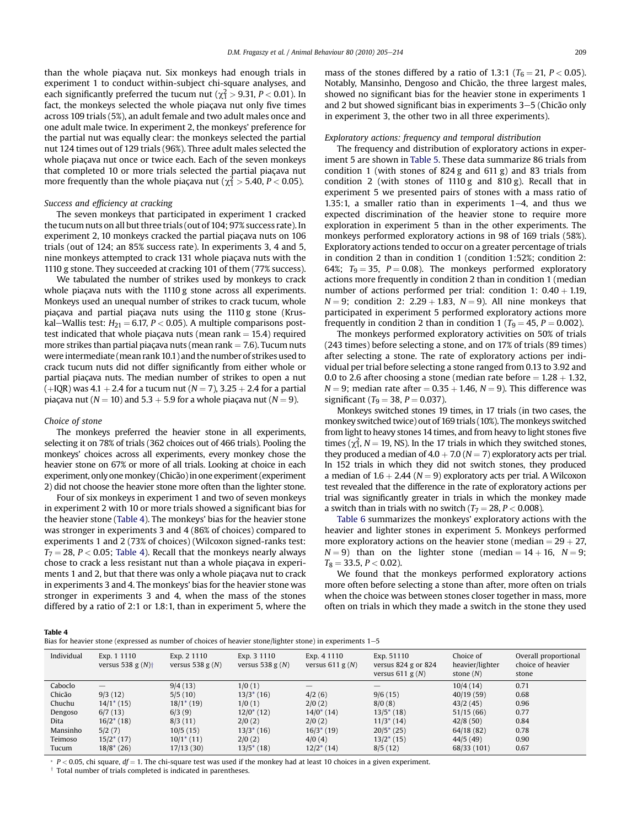than the whole piaçava nut. Six monkeys had enough trials in experiment 1 to conduct within-subject chi-square analyses, and each significantly preferred the tucum nut ( $\chi_1^2$   $>$  9.31, P  $<$  0.01). In fact, the monkeys selected the whole piaçava nut only five times across 109 trials (5%), an adult female and two adult males once and one adult male twice. In experiment 2, the monkeys' preference for the partial nut was equally clear: the monkeys selected the partial nut 124 times out of 129 trials (96%). Three adult males selected the whole piaçava nut once or twice each. Each of the seven monkeys that completed 10 or more trials selected the partial piaçava nut more frequently than the whole piaçava nut ( $\chi_1^2$   $>$  5.40, P  $<$  0.05).

# Success and efficiency at cracking

The seven monkeys that participated in experiment 1 cracked the tucum nuts on all but three trials (out of 104; 97% success rate). In experiment 2, 10 monkeys cracked the partial piaçava nuts on 106 trials (out of 124; an 85% success rate). In experiments 3, 4 and 5, nine monkeys attempted to crack 131 whole piaçava nuts with the 1110 g stone. They succeeded at cracking 101 of them (77% success).

We tabulated the number of strikes used by monkeys to crack whole piaçava nuts with the 1110 g stone across all experiments. Monkeys used an unequal number of strikes to crack tucum, whole piaçava and partial piaçava nuts using the 1110 g stone (Kruskal–Wallis test:  $H_{21} = 6.17$ ,  $P < 0.05$ ). A multiple comparisons posttest indicated that whole piaçava nuts (mean rank  $= 15.4$ ) required more strikes than partial piaçava nuts (mean rank  $= 7.6$ ). Tucum nuts were intermediate (mean rank 10.1) and the number of strikes used to crack tucum nuts did not differ significantly from either whole or partial piaçava nuts. The median number of strikes to open a nut  $(+IQR)$  was 4.1  $+$  2.4 for a tucum nut (N = 7), 3.25  $+$  2.4 for a partial piaçava nut ( $N = 10$ ) and  $5.3 + 5.9$  for a whole piaçava nut ( $N = 9$ ).

### Choice of stone

The monkeys preferred the heavier stone in all experiments, selecting it on 78% of trials (362 choices out of 466 trials). Pooling the monkeys' choices across all experiments, every monkey chose the heavier stone on 67% or more of all trials. Looking at choice in each experiment, only one monkey (Chicão) in one experiment (experiment 2) did not choose the heavier stone more often than the lighter stone.

Four of six monkeys in experiment 1 and two of seven monkeys in experiment 2 with 10 or more trials showed a significant bias for the heavier stone (Table 4). The monkeys' bias for the heavier stone was stronger in experiments 3 and 4 (86% of choices) compared to experiments 1 and 2 (73% of choices) (Wilcoxon signed-ranks test:  $T_7 = 28$ ,  $P < 0.05$ ; Table 4). Recall that the monkeys nearly always chose to crack a less resistant nut than a whole piaçava in experiments 1 and 2, but that there was only a whole piaçava nut to crack in experiments 3 and 4. The monkeys' bias for the heavier stone was stronger in experiments 3 and 4, when the mass of the stones differed by a ratio of 2:1 or 1.8:1, than in experiment 5, where the mass of the stones differed by a ratio of 1.3:1 ( $T_6 = 21$ ,  $P < 0.05$ ). Notably, Mansinho, Dengoso and Chicão, the three largest males, showed no significant bias for the heavier stone in experiments 1 and 2 but showed significant bias in experiments  $3-5$  (Chicão only in experiment 3, the other two in all three experiments).

#### Exploratory actions: frequency and temporal distribution

The frequency and distribution of exploratory actions in experiment 5 are shown in [Table 5.](#page-5-0) These data summarize 86 trials from condition 1 (with stones of 824 g and 611 g) and 83 trials from condition 2 (with stones of 1110 g and 810 g). Recall that in experiment 5 we presented pairs of stones with a mass ratio of 1.35:1, a smaller ratio than in experiments  $1-4$ , and thus we expected discrimination of the heavier stone to require more exploration in experiment 5 than in the other experiments. The monkeys performed exploratory actions in 98 of 169 trials (58%). Exploratory actions tended to occur on a greater percentage of trials in condition 2 than in condition 1 (condition 1:52%; condition 2: 64%;  $T_9 = 35$ ,  $P = 0.08$ ). The monkeys performed exploratory actions more frequently in condition 2 than in condition 1 (median number of actions performed per trial: condition 1:  $0.40 + 1.19$ ,  $N = 9$ ; condition 2: 2.29 + 1.83,  $N = 9$ ). All nine monkeys that participated in experiment 5 performed exploratory actions more frequently in condition 2 than in condition 1 ( $T_9 = 45$ ,  $P = 0.002$ ).

The monkeys performed exploratory activities on 50% of trials (243 times) before selecting a stone, and on 17% of trials (89 times) after selecting a stone. The rate of exploratory actions per individual per trial before selecting a stone ranged from 0.13 to 3.92 and 0.0 to 2.6 after choosing a stone (median rate before  $= 1.28 + 1.32$ ,  $N = 9$ ; median rate after = 0.35 + 1.46,  $N = 9$ ). This difference was significant ( $T_9 = 38$ ,  $P = 0.037$ ).

Monkeys switched stones 19 times, in 17 trials (in two cases, the monkey switched twice) out of 169 trials (10%). The monkeys switched from light to heavy stones 14 times, and from heavy to light stones five times ( $\chi_1^2$ , N = 19, NS). In the 17 trials in which they switched stones, they produced a median of  $4.0 + 7.0$  ( $N = 7$ ) exploratory acts per trial. In 152 trials in which they did not switch stones, they produced a median of  $1.6 + 2.44$  ( $N = 9$ ) exploratory acts per trial. A Wilcoxon test revealed that the difference in the rate of exploratory actions per trial was significantly greater in trials in which the monkey made a switch than in trials with no switch  $(T_7 = 28, P < 0.008)$ .

[Table 6](#page-6-0) summarizes the monkeys' exploratory actions with the heavier and lighter stones in experiment 5. Monkeys performed more exploratory actions on the heavier stone (median  $= 29 + 27$ ,  $N = 9$ ) than on the lighter stone (median =  $14 + 16$ ,  $N = 9$ ;  $T_8 = 33.5, P < 0.02$ ).

We found that the monkeys performed exploratory actions more often before selecting a stone than after, more often on trials when the choice was between stones closer together in mass, more often on trials in which they made a switch in the stone they used

Table 4

|  | Bias for heavier stone (expressed as number of choices of heavier stone/lighter stone) in experiments 1–5 |  |  |
|--|-----------------------------------------------------------------------------------------------------------|--|--|
|--|-----------------------------------------------------------------------------------------------------------|--|--|

| Individual | Exp. 1 1110<br>versus 538 g $(N)$ <sup>+</sup> | Exp. 2 1110<br>versus 538 $g(N)$ | Exp. 3 1110<br>versus 538 $g(N)$ | Exp. 4 1110<br>versus $611 g(N)$ | Exp. 51110<br>versus $824$ g or $824$<br>versus $611 \text{ g} (N)$ | Choice of<br>heavier/lighter<br>stone $(N)$ | Overall proportional<br>choice of heavier<br>stone |
|------------|------------------------------------------------|----------------------------------|----------------------------------|----------------------------------|---------------------------------------------------------------------|---------------------------------------------|----------------------------------------------------|
| Caboclo    |                                                | 9/4(13)                          | 1/0(1)                           |                                  |                                                                     | 10/4(14)                                    | 0.71                                               |
| Chicão     | 9/3(12)                                        | 5/5(10)                          | $13/3$ <sup>*</sup> (16)         | 4/2(6)                           | 9/6(15)                                                             | 40/19(59)                                   | 0.68                                               |
| Chuchu     | $14/1$ <sup>*</sup> (15)                       | $18/1*(19)$                      | 1/0(1)                           | 2/0(2)                           | 8/0(8)                                                              | 43/2(45)                                    | 0.96                                               |
| Dengoso    | 6/7(13)                                        | 6/3(9)                           | $12/0$ <sup>*</sup> (12)         | $14/0*(14)$                      | $13/5$ <sup>*</sup> (18)                                            | 51/15(66)                                   | 0.77                                               |
| Dita       | $16/2*(18)$                                    | 8/3(11)                          | 2/0(2)                           | 2/0(2)                           | $11/3$ <sup>*</sup> (14)                                            | 42/8(50)                                    | 0.84                                               |
| Mansinho   | 5/2(7)                                         | 10/5(15)                         | $13/3$ <sup>*</sup> (16)         | $16/3*(19)$                      | $20/5$ <sup>*</sup> (25)                                            | 64/18(82)                                   | 0.78                                               |
| Teimoso    | $15/2$ <sup>*</sup> (17)                       | $10/1$ <sup>*</sup> (11)         | 2/0(2)                           | 4/0(4)                           | $13/2$ <sup>*</sup> (15)                                            | 44/5(49)                                    | 0.90                                               |
| Tucum      | $18/8*(26)$                                    | 17/13 (30)                       | $13/5$ <sup>*</sup> (18)         | $12/2$ <sup>*</sup> (14)         | 8/5(12)                                                             | 68/33 (101)                                 | 0.67                                               |

 $P < 0.05$ , chi square, df = 1. The chi-square test was used if the monkey had at least 10 choices in a given experiment. Total number of trials completed is indicated in parentheses.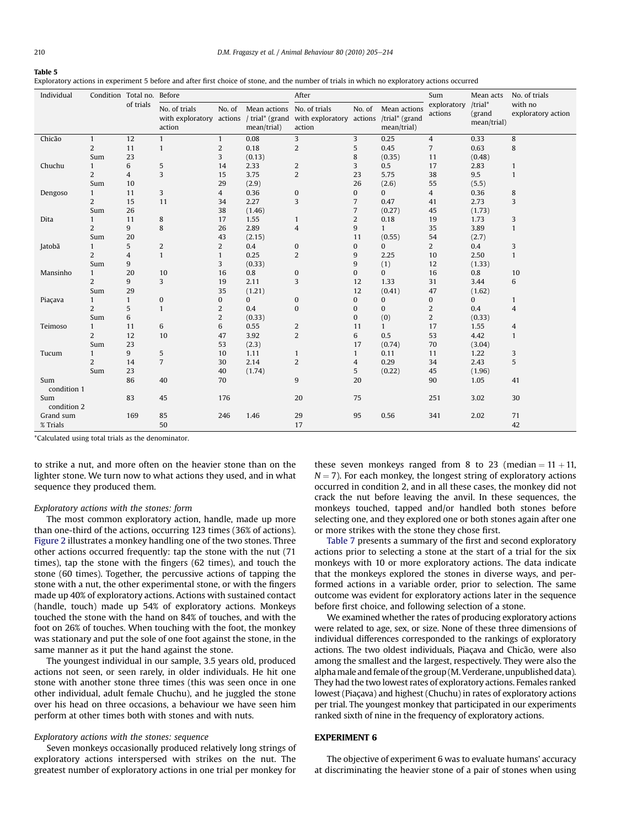#### <span id="page-5-0"></span>Table 5

Exploratory actions in experiment 5 before and after first choice of stone, and the number of trials in which no exploratory actions occurred

| Individual<br>Condition Total no. Before |                |                |                                                     | After          |                                                              |                                    | Sum            | Mean acts                                     | No. of trials          |                                  |                               |
|------------------------------------------|----------------|----------------|-----------------------------------------------------|----------------|--------------------------------------------------------------|------------------------------------|----------------|-----------------------------------------------|------------------------|----------------------------------|-------------------------------|
|                                          |                | of trials      | No. of trials<br>with exploratory actions<br>action | No. of         | Mean actions No. of trials<br>/ trial* (grand<br>mean/trial) | with exploratory actions<br>action | No. of         | Mean actions<br>/trial* (grand<br>mean/trial) | exploratory<br>actions | /trial*<br>(grand<br>mean/trial) | with no<br>exploratory action |
| Chicão                                   | $\mathbf{1}$   | 12             | $\mathbf{1}$                                        | $\mathbf{1}$   | 0.08                                                         | 3                                  | 3              | 0.25                                          | $\overline{4}$         | 0.33                             | 8                             |
|                                          | $\overline{2}$ | 11             | $\mathbf{1}$                                        | $\overline{2}$ | 0.18                                                         | $\overline{2}$                     | 5              | 0.45                                          | $\overline{7}$         | 0.63                             | 8                             |
|                                          | Sum            | 23             |                                                     | 3              | (0.13)                                                       |                                    | 8              | (0.35)                                        | 11                     | (0.48)                           |                               |
| Chuchu                                   | 1              | 6              | 5                                                   | 14             | 2.33                                                         | $\overline{2}$                     | 3              | 0.5                                           | 17                     | 2.83                             | 1                             |
|                                          | $\overline{2}$ | $\overline{4}$ | 3                                                   | 15             | 3.75                                                         | $\overline{2}$                     | 23             | 5.75                                          | 38                     | 9.5                              | 1                             |
|                                          | Sum            | 10             |                                                     | 29             | (2.9)                                                        |                                    | 26             | (2.6)                                         | 55                     | (5.5)                            |                               |
| Dengoso                                  | $\mathbf{1}$   | 11             | 3                                                   | $\overline{4}$ | 0.36                                                         | $\bf{0}$                           | $\mathbf{0}$   | $\mathbf{0}$                                  | 4                      | 0.36                             | 8                             |
|                                          | $\overline{2}$ | 15             | 11                                                  | 34             | 2.27                                                         | 3                                  | $\overline{7}$ | 0.47                                          | 41                     | 2.73                             | 3                             |
|                                          | Sum            | 26             |                                                     | 38             | (1.46)                                                       |                                    | 7              | (0.27)                                        | 45                     | (1.73)                           |                               |
| Dita                                     | 1              | 11             | 8                                                   | 17             | 1.55                                                         | $\mathbf{1}$                       | $\overline{c}$ | 0.18                                          | 19                     | 1.73                             | 3                             |
|                                          | $\overline{2}$ | 9              | 8                                                   | 26             | 2.89                                                         | 4                                  | 9              | $\mathbf{1}$                                  | 35                     | 3.89                             | $\mathbf{1}$                  |
|                                          | Sum            | 20             |                                                     | 43             | (2.15)                                                       |                                    | 11             | (0.55)                                        | 54                     | (2.7)                            |                               |
| Jatobã                                   | $\mathbf{1}$   | 5              | 2                                                   | $\overline{2}$ | 0.4                                                          | $\bf{0}$                           | 0              | $\Omega$                                      | $\overline{2}$         | 0.4                              | 3                             |
|                                          | $\overline{2}$ | $\overline{4}$ | $\mathbf{1}$                                        | $\mathbf{1}$   | 0.25                                                         | $\overline{2}$                     | 9              | 2.25                                          | 10                     | 2.50                             | $\mathbf{1}$                  |
|                                          | Sum            | 9              |                                                     | 3              | (0.33)                                                       |                                    | 9              | (1)                                           | 12                     | (1.33)                           |                               |
| Mansinho                                 | $\mathbf{1}$   | 20             | 10                                                  | 16             | 0.8                                                          | 0                                  | $\mathbf{0}$   | $\Omega$                                      | 16                     | 0.8                              | 10                            |
|                                          | $\overline{2}$ | 9              | 3                                                   | 19             | 2.11                                                         | 3                                  | 12             | 1.33                                          | 31                     | 3.44                             | 6                             |
|                                          | Sum            | 29             |                                                     | 35             | (1.21)                                                       |                                    | 12             | (0.41)                                        | 47                     | (1.62)                           |                               |
| Piaçava                                  | $\mathbf{1}$   | $\mathbf{1}$   | $\bf{0}$                                            | $\bf{0}$       | $\mathbf{0}$                                                 | $\bf{0}$                           | 0              | $\bf{0}$                                      | $\bf{0}$               | $\bf{0}$                         | $\mathbf{1}$                  |
|                                          | $\overline{2}$ | 5              | $\mathbf{1}$                                        | $\overline{2}$ | 0.4                                                          | $\bf{0}$                           | 0              | $\bf{0}$                                      | $\overline{2}$         | 0.4                              | 4                             |
|                                          | Sum            | 6              |                                                     | $\overline{2}$ | (0.33)                                                       |                                    | 0              | (0)                                           | 2                      | (0.33)                           |                               |
| Teimoso                                  | $\mathbf{1}$   | 11             | 6                                                   | 6              | 0.55                                                         | 2                                  | 11             | $\mathbf{1}$                                  | 17                     | 1.55                             | 4                             |
|                                          | $\overline{2}$ | 12             | 10                                                  | 47             | 3.92                                                         | $\overline{2}$                     | 6              | 0.5                                           | 53                     | 4.42                             | $\mathbf{1}$                  |
|                                          | Sum            | 23             |                                                     | 53             | (2.3)                                                        |                                    | 17             | (0.74)                                        | 70                     | (3.04)                           |                               |
| Tucum                                    | $\mathbf{1}$   | 9              | 5                                                   | 10             | 1.11                                                         | $\mathbf{1}$                       | $\mathbf{1}$   | 0.11                                          | 11                     | 1.22                             | 3                             |
|                                          | $\overline{2}$ | 14             | $\overline{7}$                                      | 30             | 2.14                                                         | $\overline{2}$                     | 4              | 0.29                                          | 34                     | 2.43                             | 5                             |
|                                          | Sum            | 23             |                                                     | 40             | (1.74)                                                       |                                    | 5              | (0.22)                                        | 45                     | (1.96)                           |                               |
| Sum                                      |                | 86             | 40                                                  | 70             |                                                              | 9                                  | 20             |                                               | 90                     | 1.05                             | 41                            |
| condition 1                              |                |                |                                                     |                |                                                              |                                    |                |                                               |                        |                                  |                               |
| Sum<br>condition 2                       |                | 83             | 45                                                  | 176            |                                                              | 20                                 | 75             |                                               | 251                    | 3.02                             | 30                            |
| Grand sum                                |                | 169            | 85                                                  | 246            | 1.46                                                         | 29                                 | 95             | 0.56                                          | 341                    | 2.02                             | 71                            |
| % Trials                                 |                |                | 50                                                  |                |                                                              | 17                                 |                |                                               |                        |                                  | 42                            |

\*Calculated using total trials as the denominator.

to strike a nut, and more often on the heavier stone than on the lighter stone. We turn now to what actions they used, and in what sequence they produced them.

### Exploratory actions with the stones: form

The most common exploratory action, handle, made up more than one-third of the actions, occurring 123 times (36% of actions). [Figure 2](#page-6-0) illustrates a monkey handling one of the two stones. Three other actions occurred frequently: tap the stone with the nut (71 times), tap the stone with the fingers (62 times), and touch the stone (60 times). Together, the percussive actions of tapping the stone with a nut, the other experimental stone, or with the fingers made up 40% of exploratory actions. Actions with sustained contact (handle, touch) made up 54% of exploratory actions. Monkeys touched the stone with the hand on 84% of touches, and with the foot on 26% of touches. When touching with the foot, the monkey was stationary and put the sole of one foot against the stone, in the same manner as it put the hand against the stone.

The youngest individual in our sample, 3.5 years old, produced actions not seen, or seen rarely, in older individuals. He hit one stone with another stone three times (this was seen once in one other individual, adult female Chuchu), and he juggled the stone over his head on three occasions, a behaviour we have seen him perform at other times both with stones and with nuts.

# Exploratory actions with the stones: sequence

Seven monkeys occasionally produced relatively long strings of exploratory actions interspersed with strikes on the nut. The greatest number of exploratory actions in one trial per monkey for these seven monkeys ranged from 8 to 23 (median  $= 11 + 11$ ,  $N = 7$ ). For each monkey, the longest string of exploratory actions occurred in condition 2, and in all these cases, the monkey did not crack the nut before leaving the anvil. In these sequences, the monkeys touched, tapped and/or handled both stones before selecting one, and they explored one or both stones again after one or more strikes with the stone they chose first.

[Table 7](#page-7-0) presents a summary of the first and second exploratory actions prior to selecting a stone at the start of a trial for the six monkeys with 10 or more exploratory actions. The data indicate that the monkeys explored the stones in diverse ways, and performed actions in a variable order, prior to selection. The same outcome was evident for exploratory actions later in the sequence before first choice, and following selection of a stone.

We examined whether the rates of producing exploratory actions were related to age, sex, or size. None of these three dimensions of individual differences corresponded to the rankings of exploratory actions. The two oldest individuals, Piaçava and Chicão, were also among the smallest and the largest, respectively. They were also the alpha male and female of the group (M. Verderane, unpublished data). They had the two lowest rates of exploratory actions. Females ranked lowest (Piaçava) and highest (Chuchu) in rates of exploratory actions per trial. The youngest monkey that participated in our experiments ranked sixth of nine in the frequency of exploratory actions.

# EXPERIMENT 6

The objective of experiment 6 was to evaluate humans' accuracy at discriminating the heavier stone of a pair of stones when using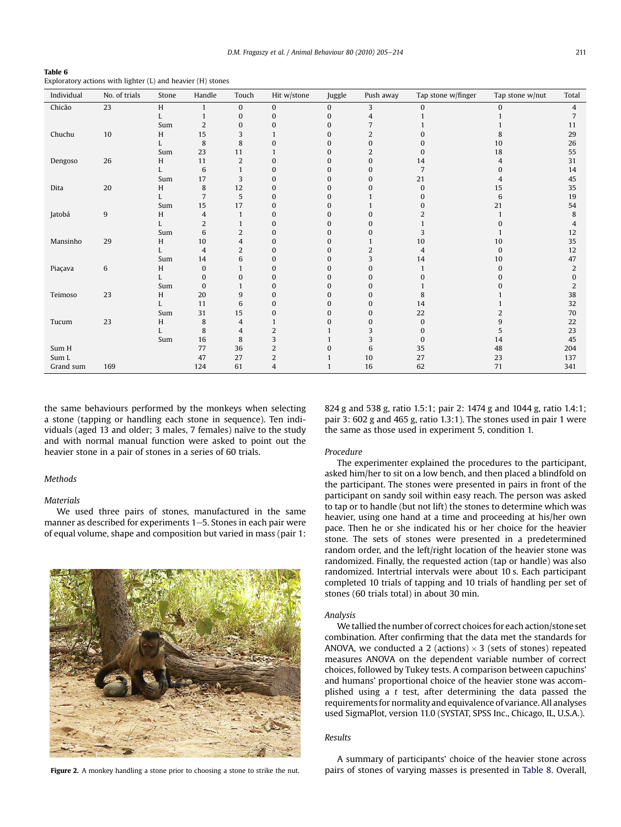#### <span id="page-6-0"></span>Table 6

Exploratory actions with lighter (L) and heavier (H) stones

| Individual | No. of trials    | Stone | Handle         | Touch          | Hit w/stone    | Juggle   | Push away | Tap stone w/finger | Tap stone w/nut | Total          |
|------------|------------------|-------|----------------|----------------|----------------|----------|-----------|--------------------|-----------------|----------------|
| Chicão     | 23               | H     |                | $\mathbf{0}$   | $\bf{0}$       | 0        | 3         | $\bf{0}$           | $\mathbf{0}$    | 4              |
|            |                  |       |                | 0              | $\mathbf{0}$   | $\Omega$ | 4         |                    |                 | 7              |
|            |                  | Sum   | $\overline{2}$ | $\bf{0}$       | $\Omega$       | 0        | 7         |                    |                 | 11             |
| Chuchu     | 10               | H     | 15             | 3              |                | 0        | 2         |                    | 8               | 29             |
|            |                  |       | 8              | 8              | $\Omega$       | $\Omega$ | 0         |                    | 10              | 26             |
|            |                  | Sum   | 23             | 11             |                | $\Omega$ | 2         | 0                  | 18              | 55             |
| Dengoso    | 26               | H     | 11             | $\overline{2}$ | $\Omega$       | 0        | 0         | 14                 | 4               | 31             |
|            |                  |       | 6              | $\mathbf{1}$   | $\Omega$       | $\Omega$ | 0         | $\overline{7}$     | 0               | 14             |
|            |                  | Sum   | 17             | 3              | $\mathbf{0}$   | 0        | 0         | 21                 |                 | 45             |
| Dita       | $20\,$           | H     | 8              | 12             | $\mathbf{0}$   | 0        | $\Omega$  | $\Omega$           | 15              | 35             |
|            |                  |       | $\overline{7}$ | 5              | $\Omega$       | 0        |           | n                  | 6               | 19             |
|            |                  | Sum   | 15             | 17             | $\bf{0}$       | 0        |           |                    | 21              | 54             |
| Jatobá     | $\boldsymbol{9}$ | H     | 4              | 1              | $\Omega$       | 0        | 0         |                    |                 | 8              |
|            |                  |       | 2              | 1              | $\Omega$       | $\Omega$ | 0         |                    | O               | $\overline{4}$ |
|            |                  | Sum   | 6              | $\overline{2}$ | $\mathbf{0}$   | 0        | 0         | 3                  |                 | 12             |
| Mansinho   | 29               | H     | 10             | 4              | $\mathbf{0}$   | 0        |           | 10                 | 10              | 35             |
|            |                  | L     | 4              | $\overline{2}$ | $\Omega$       | 0        | 2         | 4                  | $\Omega$        | 12             |
|            |                  | Sum   | 14             | 6              | $\mathbf{0}$   | 0        | 3         | 14                 | 10              | 47             |
| Piaçava    | 6                | H     | 0              |                | $\mathbf{0}$   | 0        | 0         |                    | 0               | 2              |
|            |                  |       | 0              | 0              | $\Omega$       | 0        | $\Omega$  | O                  | 0               | $\Omega$       |
|            |                  | Sum   | $\bf{0}$       |                | $\Omega$       | $\Omega$ | 0         |                    |                 | $\overline{2}$ |
| Teimoso    | 23               | H     | 20             | 9              | $\Omega$       | $\Omega$ | 0         | 8                  |                 | 38             |
|            |                  |       | 11             | 6              | $\mathbf{0}$   | $\Omega$ | 0         | 14                 |                 | 32             |
|            |                  | Sum   | 31             | 15             | 0              | 0        | $\Omega$  | 22                 |                 | 70             |
| Tucum      | 23               | H     | 8              | 4              |                | O        | 0         | $\mathbf{0}$       | 9               | 22             |
|            |                  |       | 8              | 4              | $\overline{2}$ |          | 3         | 0                  | 5               | 23             |
|            |                  | Sum   | 16             | 8              | 3              |          | 3         | $\Omega$           | 14              | 45             |
| Sum H      |                  |       | 77             | 36             | 2              | 0        | 6         | 35                 | 48              | 204            |
| Sum L      |                  |       | 47             | 27             | $\overline{2}$ |          | 10        | 27                 | 23              | 137            |
| Grand sum  | 169              |       | 124            | 61             | 4              | 1        | 16        | 62                 | 71              | 341            |

the same behaviours performed by the monkeys when selecting a stone (tapping or handling each stone in sequence). Ten individuals (aged 13 and older; 3 males, 7 females) naïve to the study and with normal manual function were asked to point out the heavier stone in a pair of stones in a series of 60 trials.

### Methods

#### Materials

We used three pairs of stones, manufactured in the same manner as described for experiments  $1-5$ . Stones in each pair were of equal volume, shape and composition but varied in mass (pair 1:



Figure 2. A monkey handling a stone prior to choosing a stone to strike the nut.

824 g and 538 g, ratio 1.5:1; pair 2: 1474 g and 1044 g, ratio 1.4:1; pair 3: 602 g and 465 g, ratio 1.3:1). The stones used in pair 1 were the same as those used in experiment 5, condition 1.

#### Procedure

The experimenter explained the procedures to the participant, asked him/her to sit on a low bench, and then placed a blindfold on the participant. The stones were presented in pairs in front of the participant on sandy soil within easy reach. The person was asked to tap or to handle (but not lift) the stones to determine which was heavier, using one hand at a time and proceeding at his/her own pace. Then he or she indicated his or her choice for the heavier stone. The sets of stones were presented in a predetermined random order, and the left/right location of the heavier stone was randomized. Finally, the requested action (tap or handle) was also randomized. Intertrial intervals were about 10 s. Each participant completed 10 trials of tapping and 10 trials of handling per set of stones (60 trials total) in about 30 min.

#### Analysis

We tallied the number of correct choices for each action/stone set combination. After confirming that the data met the standards for ANOVA, we conducted a 2 (actions)  $\times$  3 (sets of stones) repeated measures ANOVA on the dependent variable number of correct choices, followed by Tukey tests. A comparison between capuchins' and humans' proportional choice of the heavier stone was accomplished using a  $t$  test, after determining the data passed the requirements for normality and equivalence of variance. All analyses used SigmaPlot, version 11.0 (SYSTAT, SPSS Inc., Chicago, IL, U.S.A.).

# Results

A summary of participants' choice of the heavier stone across pairs of stones of varying masses is presented in [Table 8.](#page-7-0) Overall,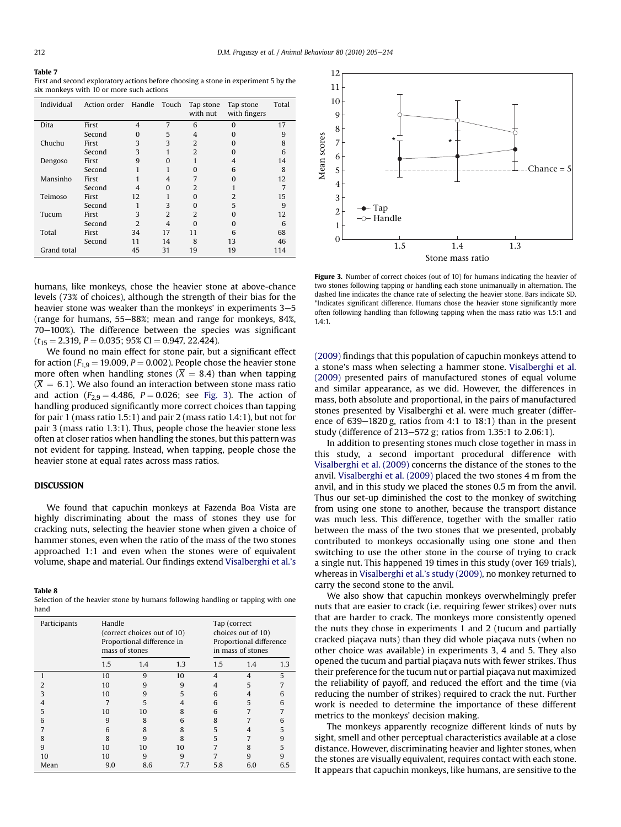#### <span id="page-7-0"></span>Table 7

First and second exploratory actions before choosing a stone in experiment 5 by the six monkeys with 10 or more such actions

| Individual  | Action order Handle Touch |               |                          | Tap stone<br>with nut | Tap stone<br>with fingers | Total |
|-------------|---------------------------|---------------|--------------------------|-----------------------|---------------------------|-------|
| Dita        | First                     | 4             | 7                        | 6                     | $\Omega$                  | 17    |
|             | Second                    | $\Omega$      | 5                        | 4                     | $\Omega$                  | 9     |
| Chuchu      | First                     | 3             | 3                        | $\mathcal{L}$         | $\Omega$                  | 8     |
|             | Second                    | 3             |                          | $\mathcal{L}$         | U                         | 6     |
| Dengoso     | First                     | 9             | O                        |                       | 4                         | 14    |
|             | Second                    |               |                          | n                     | 6                         | 8     |
| Mansinho    | First                     |               | 4                        |                       | $\Omega$                  | 12    |
|             | Second                    | 4             | O                        | 2                     |                           | 7     |
| Teimoso     | First                     | 12            |                          | 0                     | $\overline{2}$            | 15    |
|             | Second                    |               | 3                        | U                     | 5                         | 9     |
| Tucum       | First                     | 3             | $\overline{\mathcal{L}}$ | C                     | $\Omega$                  | 12    |
|             | Second                    | $\mathcal{P}$ | $\overline{\mathcal{A}}$ |                       | $\Omega$                  | 6     |
| Total       | First                     | 34            | 17                       | 11                    | 6                         | 68    |
|             | Second                    | 11            | 14                       | 8                     | 13                        | 46    |
| Grand total |                           | 45            | 31                       | 19                    | 19                        | 114   |

humans, like monkeys, chose the heavier stone at above-chance levels (73% of choices), although the strength of their bias for the heavier stone was weaker than the monkeys' in experiments  $3-5$ (range for humans,  $55-88\%$ ; mean and range for monkeys,  $84\%$ ,  $70-100%$ ). The difference between the species was significant  $(t_{15} = 2.319, P = 0.035; 95\% CI = 0.947, 22.424).$ 

We found no main effect for stone pair, but a significant effect for action ( $F_{1,9} = 19.009$ ,  $P = 0.002$ ). People chose the heavier stone more often when handling stones ( $\overline{X} = 8.4$ ) than when tapping  $(\overline{X} = 6.1)$ . We also found an interaction between stone mass ratio and action  $(F_{2,9} = 4.486, P = 0.026;$  see Fig. 3). The action of handling produced significantly more correct choices than tapping for pair 1 (mass ratio 1.5:1) and pair 2 (mass ratio 1.4:1), but not for pair 3 (mass ratio 1.3:1). Thus, people chose the heavier stone less often at closer ratios when handling the stones, but this pattern was not evident for tapping. Instead, when tapping, people chose the heavier stone at equal rates across mass ratios.

# DISCUSSION

We found that capuchin monkeys at Fazenda Boa Vista are highly discriminating about the mass of stones they use for cracking nuts, selecting the heavier stone when given a choice of hammer stones, even when the ratio of the mass of the two stones approached 1:1 and even when the stones were of equivalent volume, shape and material. Our findings extend [Visalberghi et al.](#page-9-0)'s

#### Table 8

Selection of the heavier stone by humans following handling or tapping with one hand

| Participants | Handle<br>mass of stones | (correct choices out of 10)<br>Proportional difference in |     | Tap (correct<br>choices out of 10)<br>Proportional difference<br>in mass of stones |     |     |  |  |
|--------------|--------------------------|-----------------------------------------------------------|-----|------------------------------------------------------------------------------------|-----|-----|--|--|
|              | 1.5                      | 1.4                                                       | 1.3 | 1.5                                                                                | 1.4 | 1.3 |  |  |
|              | 10                       | 9                                                         | 10  | 4                                                                                  | 4   | 5   |  |  |
| 7            | 10                       | 9                                                         | 9   | 4                                                                                  | 5   |     |  |  |
|              | 10                       | 9                                                         | 5   | 6                                                                                  | 4   | 6   |  |  |
|              |                          | 5                                                         | 4   | 6                                                                                  | 5   | 6   |  |  |
| 5            | 10                       | 10                                                        | 8   | 6                                                                                  |     |     |  |  |
| 6            | 9                        | 8                                                         | 6   | 8                                                                                  |     | 6   |  |  |
|              | 6                        | 8                                                         | 8   | 5                                                                                  |     | 5   |  |  |
| 8            | 8                        | q                                                         | 8   | 5                                                                                  |     | 9   |  |  |
| 9            | 10                       | 10                                                        | 10  |                                                                                    | 8   | 5   |  |  |
| 10           | 10                       | 9                                                         | 9   |                                                                                    | 9   | 9   |  |  |
| Mean         | 9.0                      | 8.6                                                       | 7.7 | 5.8                                                                                | 6.0 | 6.5 |  |  |



Figure 3. Number of correct choices (out of 10) for humans indicating the heavier of two stones following tapping or handling each stone unimanually in alternation. The dashed line indicates the chance rate of selecting the heavier stone. Bars indicate SD. \*Indicates significant difference. Humans chose the heavier stone significantly more often following handling than following tapping when the mass ratio was 1.5:1 and 1.4:1.

[\(2009\)](#page-9-0) findings that this population of capuchin monkeys attend to a stone's mass when selecting a hammer stone. [Visalberghi et al.](#page-9-0) [\(2009\)](#page-9-0) presented pairs of manufactured stones of equal volume and similar appearance, as we did. However, the differences in mass, both absolute and proportional, in the pairs of manufactured stones presented by Visalberghi et al. were much greater (difference of  $639-1820$  g, ratios from 4:1 to 18:1) than in the present study (difference of 213-572 g; ratios from 1.35:1 to 2.06:1).

In addition to presenting stones much close together in mass in this study, a second important procedural difference with [Visalberghi et al. \(2009\)](#page-9-0) concerns the distance of the stones to the anvil. [Visalberghi et al. \(2009\)](#page-9-0) placed the two stones 4 m from the anvil, and in this study we placed the stones 0.5 m from the anvil. Thus our set-up diminished the cost to the monkey of switching from using one stone to another, because the transport distance was much less. This difference, together with the smaller ratio between the mass of the two stones that we presented, probably contributed to monkeys occasionally using one stone and then switching to use the other stone in the course of trying to crack a single nut. This happened 19 times in this study (over 169 trials), whereas in [Visalberghi et al.](#page-9-0)'s study (2009), no monkey returned to carry the second stone to the anvil.

We also show that capuchin monkeys overwhelmingly prefer nuts that are easier to crack (i.e. requiring fewer strikes) over nuts that are harder to crack. The monkeys more consistently opened the nuts they chose in experiments 1 and 2 (tucum and partially cracked piaçava nuts) than they did whole piaçava nuts (when no other choice was available) in experiments 3, 4 and 5. They also opened the tucum and partial piaçava nuts with fewer strikes. Thus their preference for the tucum nut or partial piaçava nut maximized the reliability of payoff, and reduced the effort and the time (via reducing the number of strikes) required to crack the nut. Further work is needed to determine the importance of these different metrics to the monkeys' decision making.

The monkeys apparently recognize different kinds of nuts by sight, smell and other perceptual characteristics available at a close distance. However, discriminating heavier and lighter stones, when the stones are visually equivalent, requires contact with each stone. It appears that capuchin monkeys, like humans, are sensitive to the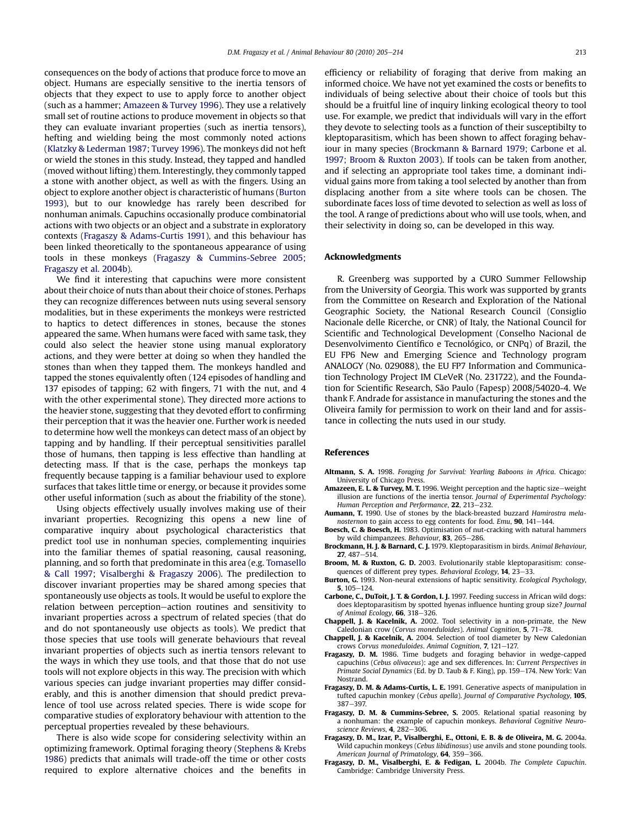<span id="page-8-0"></span>consequences on the body of actions that produce force to move an object. Humans are especially sensitive to the inertia tensors of objects that they expect to use to apply force to another object (such as a hammer; Amazeen & Turvey 1996). They use a relatively small set of routine actions to produce movement in objects so that they can evaluate invariant properties (such as inertia tensors), hefting and wielding being the most commonly noted actions ([Klatzky & Lederman 1987; Turvey 1996\)](#page-9-0). The monkeys did not heft or wield the stones in this study. Instead, they tapped and handled (moved without lifting) them. Interestingly, they commonly tapped a stone with another object, as well as with the fingers. Using an object to explore another object is characteristic of humans (Burton 1993), but to our knowledge has rarely been described for nonhuman animals. Capuchins occasionally produce combinatorial actions with two objects or an object and a substrate in exploratory contexts (Fragaszy & Adams-Curtis 1991), and this behaviour has been linked theoretically to the spontaneous appearance of using tools in these monkeys (Fragaszy & Cummins-Sebree 2005; Fragaszy et al. 2004b).

We find it interesting that capuchins were more consistent about their choice of nuts than about their choice of stones. Perhaps they can recognize differences between nuts using several sensory modalities, but in these experiments the monkeys were restricted to haptics to detect differences in stones, because the stones appeared the same. When humans were faced with same task, they could also select the heavier stone using manual exploratory actions, and they were better at doing so when they handled the stones than when they tapped them. The monkeys handled and tapped the stones equivalently often (124 episodes of handling and 137 episodes of tapping; 62 with fingers, 71 with the nut, and 4 with the other experimental stone). They directed more actions to the heavier stone, suggesting that they devoted effort to confirming their perception that it was the heavier one. Further work is needed to determine how well the monkeys can detect mass of an object by tapping and by handling. If their perceptual sensitivities parallel those of humans, then tapping is less effective than handling at detecting mass. If that is the case, perhaps the monkeys tap frequently because tapping is a familiar behaviour used to explore surfaces that takes little time or energy, or because it provides some other useful information (such as about the friability of the stone).

Using objects effectively usually involves making use of their invariant properties. Recognizing this opens a new line of comparative inquiry about psychological characteristics that predict tool use in nonhuman species, complementing inquiries into the familiar themes of spatial reasoning, causal reasoning, planning, and so forth that predominate in this area (e.g. [Tomasello](#page-9-0) [& Call 1997; Visalberghi & Fragaszy 2006\)](#page-9-0). The predilection to discover invariant properties may be shared among species that spontaneously use objects as tools. It would be useful to explore the relation between perception-action routines and sensitivity to invariant properties across a spectrum of related species (that do and do not spontaneously use objects as tools). We predict that those species that use tools will generate behaviours that reveal invariant properties of objects such as inertia tensors relevant to the ways in which they use tools, and that those that do not use tools will not explore objects in this way. The precision with which various species can judge invariant properties may differ considerably, and this is another dimension that should predict prevalence of tool use across related species. There is wide scope for comparative studies of exploratory behaviour with attention to the perceptual properties revealed by these behaviours.

There is also wide scope for considering selectivity within an optimizing framework. Optimal foraging theory ([Stephens & Krebs](#page-9-0) [1986\)](#page-9-0) predicts that animals will trade-off the time or other costs required to explore alternative choices and the benefits in efficiency or reliability of foraging that derive from making an informed choice. We have not yet examined the costs or benefits to individuals of being selective about their choice of tools but this should be a fruitful line of inquiry linking ecological theory to tool use. For example, we predict that individuals will vary in the effort they devote to selecting tools as a function of their susceptibilty to kleptoparasitism, which has been shown to affect foraging behaviour in many species (Brockmann & Barnard 1979; Carbone et al. 1997; Broom & Ruxton 2003). If tools can be taken from another, and if selecting an appropriate tool takes time, a dominant individual gains more from taking a tool selected by another than from displacing another from a site where tools can be chosen. The subordinate faces loss of time devoted to selection as well as loss of the tool. A range of predictions about who will use tools, when, and their selectivity in doing so, can be developed in this way.

### Acknowledgments

R. Greenberg was supported by a CURO Summer Fellowship from the University of Georgia. This work was supported by grants from the Committee on Research and Exploration of the National Geographic Society, the National Research Council (Consiglio Nacionale delle Ricerche, or CNR) of Italy, the National Council for Scientific and Technological Development (Conselho Nacional de Desenvolvimento Científico e Tecnológico, or CNPq) of Brazil, the EU FP6 New and Emerging Science and Technology program ANALOGY (No. 029088), the EU FP7 Information and Communication Technology Project IM CLeVeR (No. 231722), and the Foundation for Scientific Research, São Paulo (Fapesp) 2008/54020-4. We thank F. Andrade for assistance in manufacturing the stones and the Oliveira family for permission to work on their land and for assistance in collecting the nuts used in our study.

# References

- Altmann, S. A. 1998. Foraging for Survival: Yearling Baboons in Africa. Chicago: University of Chicago Press.
- Amazeen, E. L. & Turvey, M. T. 1996. Weight perception and the haptic size-weight illusion are functions of the inertia tensor. Journal of Experimental Psychology: Human Perception and Performance, 22, 213-232.
- Aumann, T. 1990. Use of stones by the black-breasted buzzard Hamirostra melanosternon to gain access to egg contents for food.  $Emu$ , 90, 141-144.
- Boesch, C. & Boesch, H. 1983. Optimisation of nut-cracking with natural hammers by wild chimpanzees. Behaviour,  $83$ ,  $265-286$ .
- Brockmann, H. J. & Barnard, C. J. 1979. Kleptoparasitism in birds. Animal Behaviour,  $27, 487 - 514$
- Broom, M. & Ruxton, G. D. 2003. Evolutionarily stable kleptoparasitism: consequences of different prey types. Behavioral Ecology, 14, 23-33.
- Burton, G. 1993. Non-neural extensions of haptic sensitivity. Ecological Psychology,  $5.105 - 124.$
- Carbone, C., DuToit, J. T. & Gordon, I. J. 1997. Feeding success in African wild dogs: does kleptoparasitism by spotted hyenas influence hunting group size? Journal of Animal Ecology,  $66.318 - 326$ .
- Chappell, J. & Kacelnik, A. 2002. Tool selectivity in a non-primate, the New Caledonian crow (Corvus moneduloides). Animal Cognition,  $5$ ,  $71-78$ .
- Chappell, J. & Kacelnik, A. 2004. Selection of tool diameter by New Caledonian crows Corvus moneduloides. Animal Cognition,  $7$ ,  $121-127$ .
- Fragaszy, D. M. 1986. Time budgets and foraging behavior in wedge-capped capuchins (Cebus olivaceus): age and sex differences. In: Current Perspectives in Primate Social Dynamics (Ed. by D. Taub & F. King), pp. 159-174. New York: Van **Nostrand**
- Fragaszy, D. M. & Adams-Curtis, L. E. 1991. Generative aspects of manipulation in tufted capuchin monkey (Cebus apella). Journal of Comparative Psychology, 105, 387-397
- Fragaszy, D. M. & Cummins-Sebree, S. 2005. Relational spatial reasoning by a nonhuman: the example of capuchin monkeys. Behavioral Cognitive Neuroscience Reviews, 4, 282-306.
- Fragaszy, D. M., Izar, P., Visalberghi, E., Ottoni, E. B. & de Oliveira, M. G. 2004a. Wild capuchin monkeys (Cebus libidinosus) use anvils and stone pounding tools. American Journal of Primatology, 64, 359-366.
- Fragaszy, D. M., Visalberghi, E. & Fedigan, L. 2004b. The Complete Capuchin. Cambridge: Cambridge University Press.